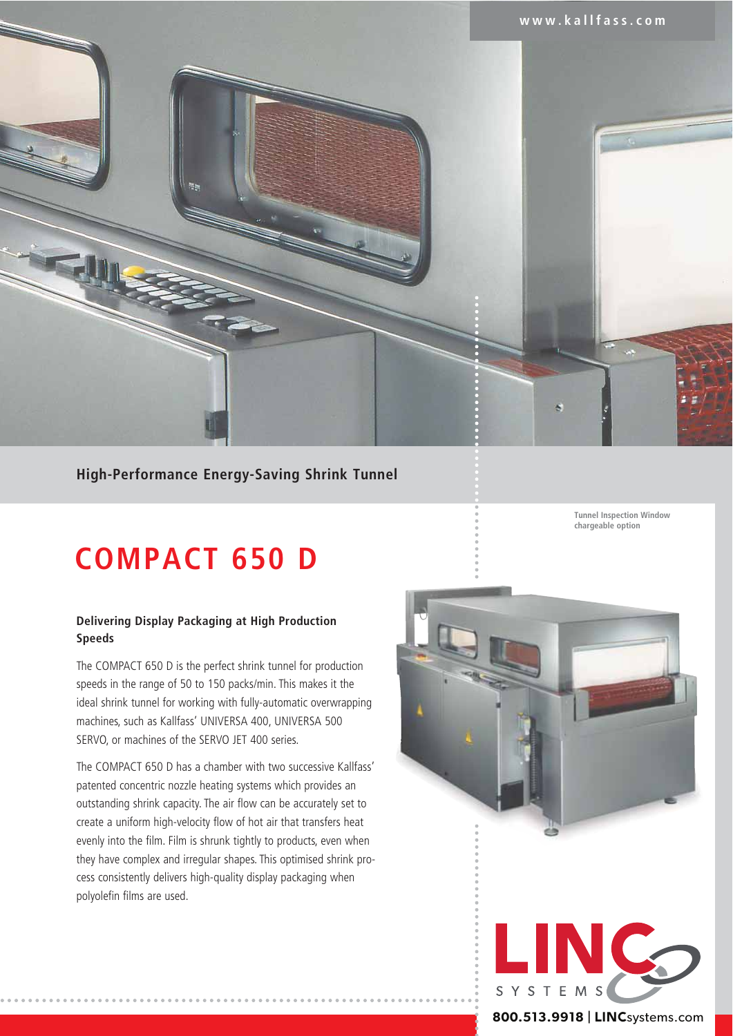

# **High-Performance Energy-Saving Shrink Tunnel**

# **COMPACT 650 D**

## **Delivering Display Packaging at High Production Speeds**

The COMPACT 650 D is the perfect shrink tunnel for production speeds in the range of 50 to 150 packs/min. This makes it the ideal shrink tunnel for working with fully-automatic overwrapping machines, such as Kallfass' UNIVERSA 400, UNIVERSA 500 SERVO, or machines of the SERVO JET 400 series.

The COMPACT 650 D has a chamber with two successive Kallfass' patented concentric nozzle heating systems which provides an outstanding shrink capacity. The air flow can be accurately set to create a uniform high-velocity flow of hot air that transfers heat evenly into the film. Film is shrunk tightly to products, even when they have complex and irregular shapes. This optimised shrink process consistently delivers high-quality display packaging when polyolefin films are used.

**Tunnel Inspection Window chargeable option**





### **800.513.9918** | LINCsystems.com